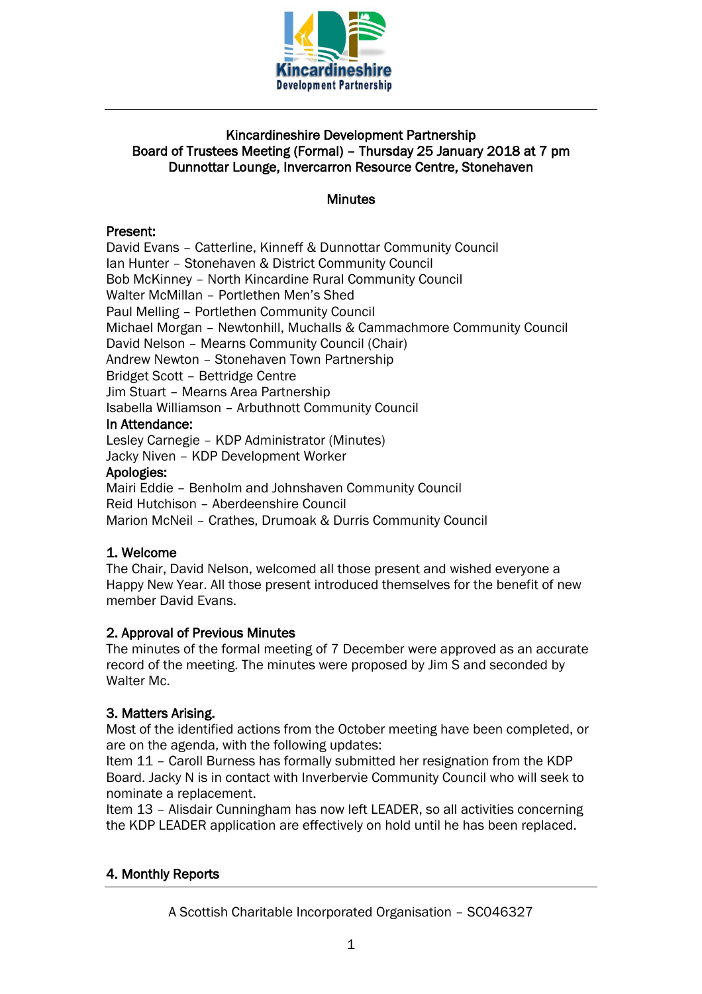

## Kincardineshire Development Partnership Board of Trustees Meeting (Formal) – Thursday 25 January 2018 at 7 pm Dunnottar Lounge, Invercarron Resource Centre, Stonehaven

#### **Minutes**

## Present:

David Evans – Catterline, Kinneff & Dunnottar Community Council Ian Hunter – Stonehaven & District Community Council Bob McKinney – North Kincardine Rural Community Council Walter McMillan – Portlethen Men's Shed Paul Melling – Portlethen Community Council Michael Morgan – Newtonhill, Muchalls & Cammachmore Community Council David Nelson – Mearns Community Council (Chair) Andrew Newton – Stonehaven Town Partnership Bridget Scott – Bettridge Centre Jim Stuart – Mearns Area Partnership Isabella Williamson – Arbuthnott Community Council In Attendance: Lesley Carnegie – KDP Administrator (Minutes) Jacky Niven – KDP Development Worker Apologies:

Mairi Eddie – Benholm and Johnshaven Community Council Reid Hutchison – Aberdeenshire Council Marion McNeil – Crathes, Drumoak & Durris Community Council

## 1. Welcome

The Chair, David Nelson, welcomed all those present and wished everyone a Happy New Year. All those present introduced themselves for the benefit of new member David Evans.

## 2. Approval of Previous Minutes

The minutes of the formal meeting of 7 December were approved as an accurate record of the meeting. The minutes were proposed by Jim S and seconded by Walter Mc.

## 3. Matters Arising.

Most of the identified actions from the October meeting have been completed, or are on the agenda, with the following updates:

Item 11 – Caroll Burness has formally submitted her resignation from the KDP Board. Jacky N is in contact with Inverbervie Community Council who will seek to nominate a replacement.

Item 13 – Alisdair Cunningham has now left LEADER, so all activities concerning the KDP LEADER application are effectively on hold until he has been replaced.

## 4. Monthly Reports

A Scottish Charitable Incorporated Organisation – SC046327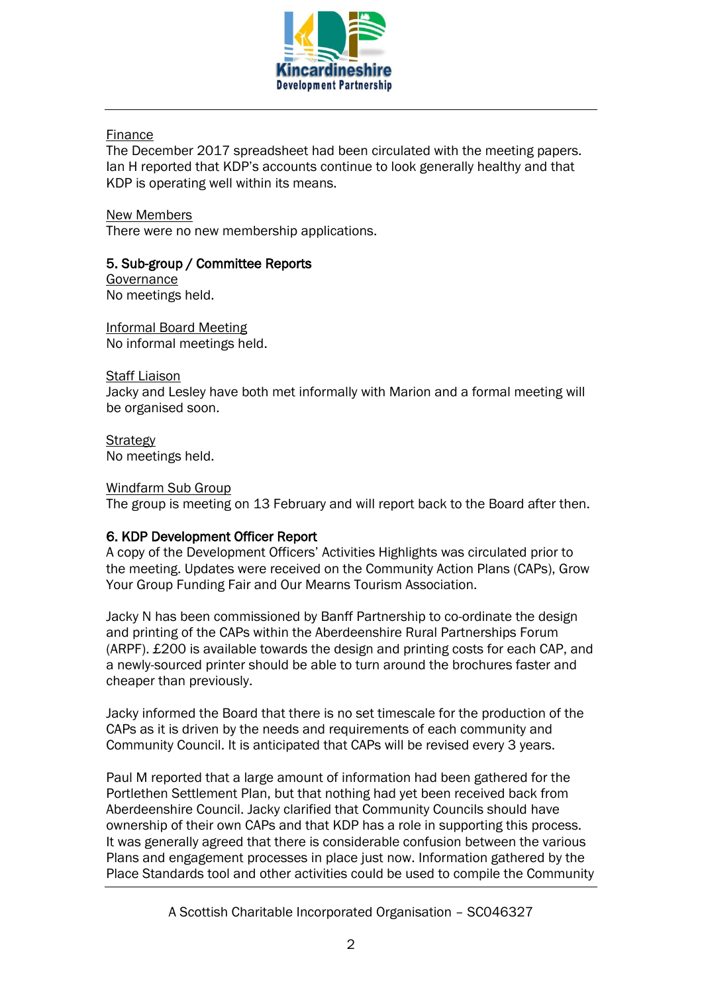

#### Finance

The December 2017 spreadsheet had been circulated with the meeting papers. Ian H reported that KDP's accounts continue to look generally healthy and that KDP is operating well within its means.

New Members There were no new membership applications.

## 5. Sub-group / Committee Reports

Governance No meetings held.

Informal Board Meeting No informal meetings held.

Staff Liaison

Jacky and Lesley have both met informally with Marion and a formal meeting will be organised soon.

**Strategy** No meetings held.

#### Windfarm Sub Group

The group is meeting on 13 February and will report back to the Board after then.

## 6. KDP Development Officer Report

A copy of the Development Officers' Activities Highlights was circulated prior to the meeting. Updates were received on the Community Action Plans (CAPs), Grow Your Group Funding Fair and Our Mearns Tourism Association.

Jacky N has been commissioned by Banff Partnership to co-ordinate the design and printing of the CAPs within the Aberdeenshire Rural Partnerships Forum (ARPF). £200 is available towards the design and printing costs for each CAP, and a newly-sourced printer should be able to turn around the brochures faster and cheaper than previously.

Jacky informed the Board that there is no set timescale for the production of the CAPs as it is driven by the needs and requirements of each community and Community Council. It is anticipated that CAPs will be revised every 3 years.

Paul M reported that a large amount of information had been gathered for the Portlethen Settlement Plan, but that nothing had yet been received back from Aberdeenshire Council. Jacky clarified that Community Councils should have ownership of their own CAPs and that KDP has a role in supporting this process. It was generally agreed that there is considerable confusion between the various Plans and engagement processes in place just now. Information gathered by the Place Standards tool and other activities could be used to compile the Community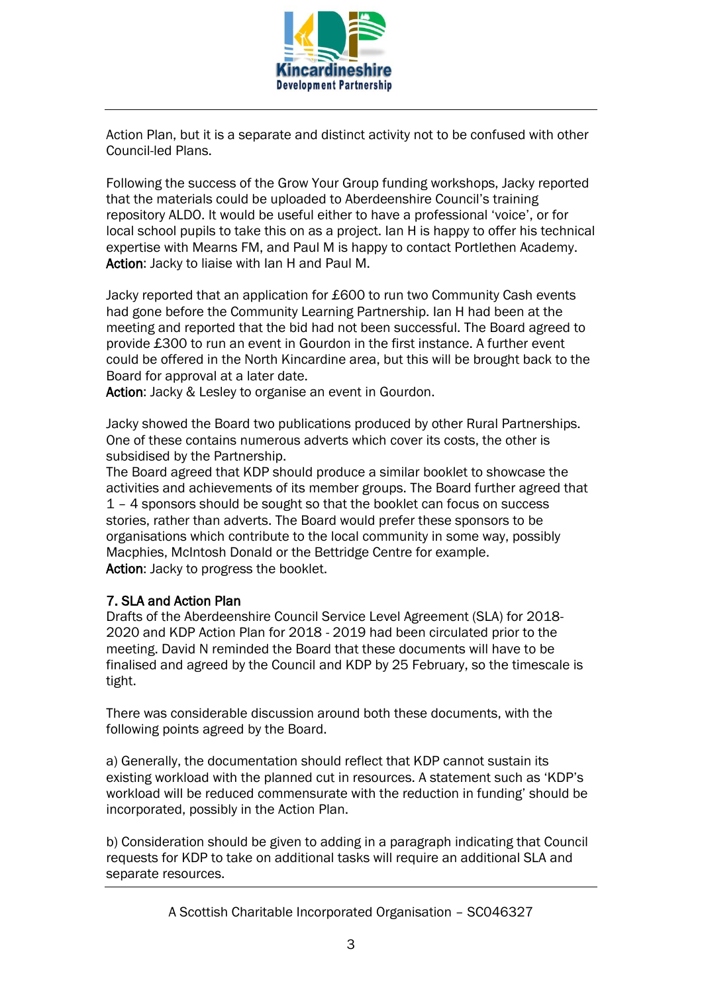

Action Plan, but it is a separate and distinct activity not to be confused with other Council-led Plans.

Following the success of the Grow Your Group funding workshops, Jacky reported that the materials could be uploaded to Aberdeenshire Council's training repository ALDO. It would be useful either to have a professional 'voice', or for local school pupils to take this on as a project. Ian H is happy to offer his technical expertise with Mearns FM, and Paul M is happy to contact Portlethen Academy. Action: Jacky to liaise with Ian H and Paul M.

Jacky reported that an application for £600 to run two Community Cash events had gone before the Community Learning Partnership. Ian H had been at the meeting and reported that the bid had not been successful. The Board agreed to provide £300 to run an event in Gourdon in the first instance. A further event could be offered in the North Kincardine area, but this will be brought back to the Board for approval at a later date.

Action: Jacky & Lesley to organise an event in Gourdon.

Jacky showed the Board two publications produced by other Rural Partnerships. One of these contains numerous adverts which cover its costs, the other is subsidised by the Partnership.

The Board agreed that KDP should produce a similar booklet to showcase the activities and achievements of its member groups. The Board further agreed that 1 – 4 sponsors should be sought so that the booklet can focus on success stories, rather than adverts. The Board would prefer these sponsors to be organisations which contribute to the local community in some way, possibly Macphies, McIntosh Donald or the Bettridge Centre for example. Action: Jacky to progress the booklet.

## 7. SLA and Action Plan

Drafts of the Aberdeenshire Council Service Level Agreement (SLA) for 2018- 2020 and KDP Action Plan for 2018 - 2019 had been circulated prior to the meeting. David N reminded the Board that these documents will have to be finalised and agreed by the Council and KDP by 25 February, so the timescale is tight.

There was considerable discussion around both these documents, with the following points agreed by the Board.

a) Generally, the documentation should reflect that KDP cannot sustain its existing workload with the planned cut in resources. A statement such as 'KDP's workload will be reduced commensurate with the reduction in funding' should be incorporated, possibly in the Action Plan.

b) Consideration should be given to adding in a paragraph indicating that Council requests for KDP to take on additional tasks will require an additional SLA and separate resources.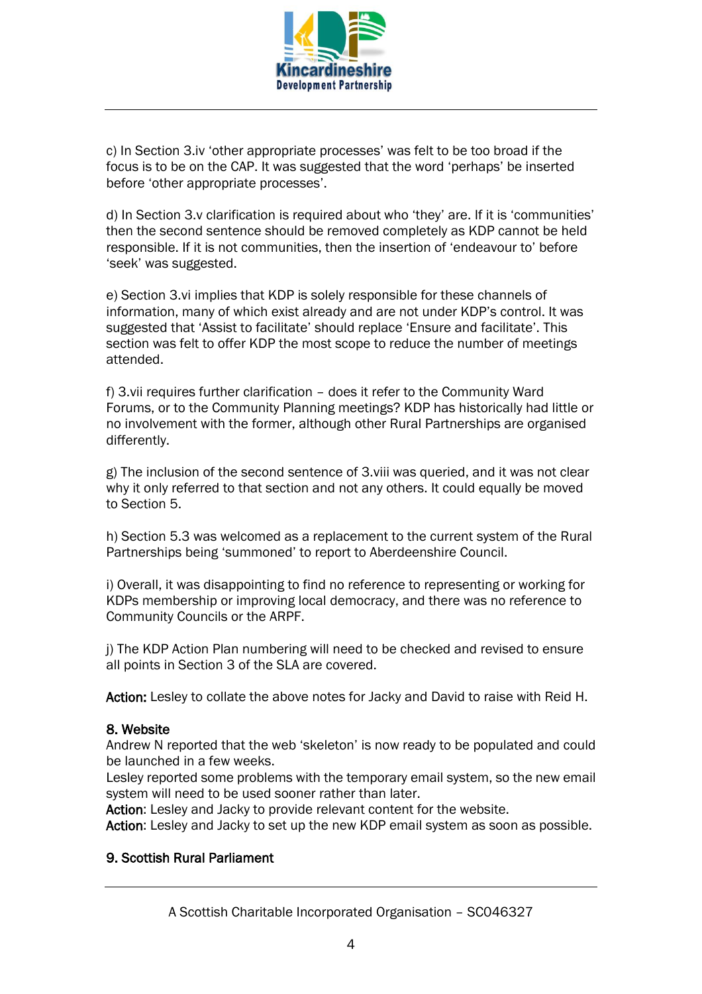

c) In Section 3.iv 'other appropriate processes' was felt to be too broad if the focus is to be on the CAP. It was suggested that the word 'perhaps' be inserted before 'other appropriate processes'.

d) In Section 3.v clarification is required about who 'they' are. If it is 'communities' then the second sentence should be removed completely as KDP cannot be held responsible. If it is not communities, then the insertion of 'endeavour to' before 'seek' was suggested.

e) Section 3.vi implies that KDP is solely responsible for these channels of information, many of which exist already and are not under KDP's control. It was suggested that 'Assist to facilitate' should replace 'Ensure and facilitate'. This section was felt to offer KDP the most scope to reduce the number of meetings attended.

f) 3.vii requires further clarification – does it refer to the Community Ward Forums, or to the Community Planning meetings? KDP has historically had little or no involvement with the former, although other Rural Partnerships are organised differently.

g) The inclusion of the second sentence of 3.viii was queried, and it was not clear why it only referred to that section and not any others. It could equally be moved to Section 5.

h) Section 5.3 was welcomed as a replacement to the current system of the Rural Partnerships being 'summoned' to report to Aberdeenshire Council.

i) Overall, it was disappointing to find no reference to representing or working for KDPs membership or improving local democracy, and there was no reference to Community Councils or the ARPF.

j) The KDP Action Plan numbering will need to be checked and revised to ensure all points in Section 3 of the SLA are covered.

Action: Lesley to collate the above notes for Jacky and David to raise with Reid H.

#### 8. Website

Andrew N reported that the web 'skeleton' is now ready to be populated and could be launched in a few weeks.

Lesley reported some problems with the temporary email system, so the new email system will need to be used sooner rather than later.

Action: Lesley and Jacky to provide relevant content for the website.

Action: Lesley and Jacky to set up the new KDP email system as soon as possible.

## 9. Scottish Rural Parliament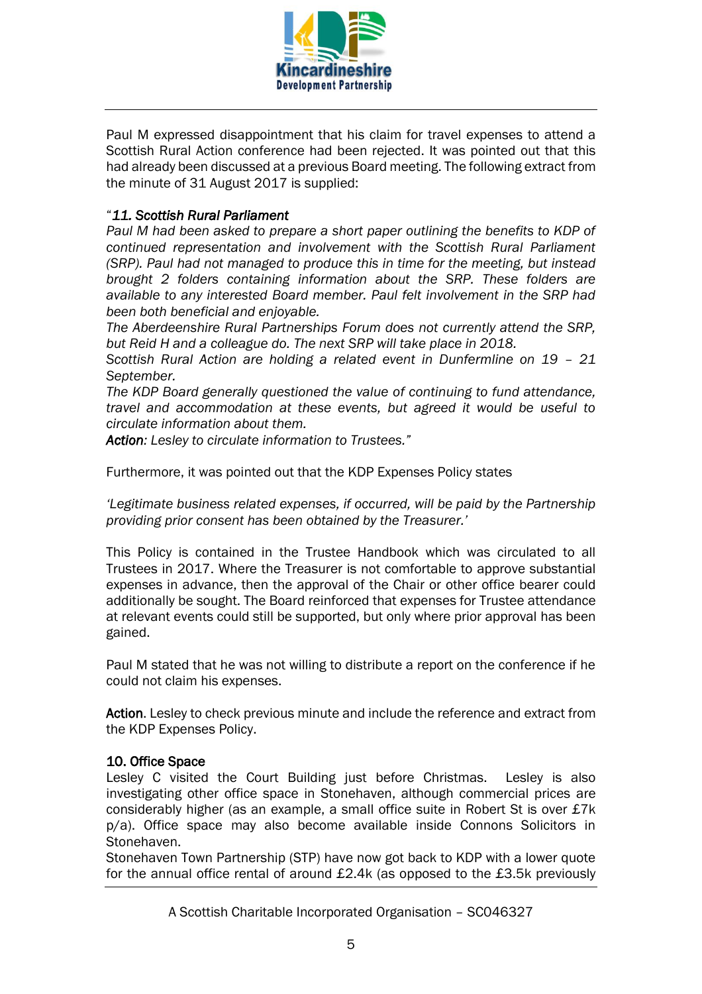

Paul M expressed disappointment that his claim for travel expenses to attend a Scottish Rural Action conference had been rejected. It was pointed out that this had already been discussed at a previous Board meeting. The following extract from the minute of 31 August 2017 is supplied:

## "*11. Scottish Rural Parliament*

*Paul M had been asked to prepare a short paper outlining the benefits to KDP of continued representation and involvement with the Scottish Rural Parliament (SRP). Paul had not managed to produce this in time for the meeting, but instead brought 2 folders containing information about the SRP. These folders are available to any interested Board member. Paul felt involvement in the SRP had been both beneficial and enjoyable.*

*The Aberdeenshire Rural Partnerships Forum does not currently attend the SRP, but Reid H and a colleague do. The next SRP will take place in 2018.*

*Scottish Rural Action are holding a related event in Dunfermline on 19 – 21 September.* 

*The KDP Board generally questioned the value of continuing to fund attendance, travel and accommodation at these events, but agreed it would be useful to circulate information about them.*

*Action: Lesley to circulate information to Trustees."*

Furthermore, it was pointed out that the KDP Expenses Policy states

*'Legitimate business related expenses, if occurred, will be paid by the Partnership providing prior consent has been obtained by the Treasurer.'* 

This Policy is contained in the Trustee Handbook which was circulated to all Trustees in 2017. Where the Treasurer is not comfortable to approve substantial expenses in advance, then the approval of the Chair or other office bearer could additionally be sought. The Board reinforced that expenses for Trustee attendance at relevant events could still be supported, but only where prior approval has been gained.

Paul M stated that he was not willing to distribute a report on the conference if he could not claim his expenses.

Action. Lesley to check previous minute and include the reference and extract from the KDP Expenses Policy.

## 10. Office Space

Lesley C visited the Court Building just before Christmas. Lesley is also investigating other office space in Stonehaven, although commercial prices are considerably higher (as an example, a small office suite in Robert St is over £7k p/a). Office space may also become available inside Connons Solicitors in Stonehaven.

Stonehaven Town Partnership (STP) have now got back to KDP with a lower quote for the annual office rental of around £2.4k (as opposed to the £3.5k previously

A Scottish Charitable Incorporated Organisation – SC046327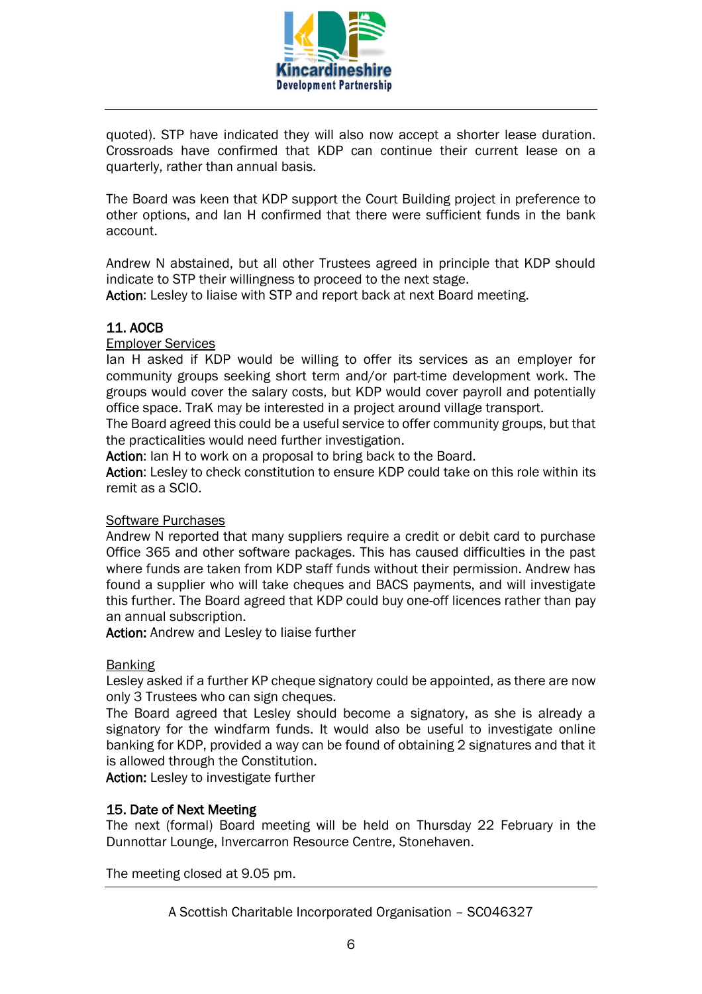

quoted). STP have indicated they will also now accept a shorter lease duration. Crossroads have confirmed that KDP can continue their current lease on a quarterly, rather than annual basis.

The Board was keen that KDP support the Court Building project in preference to other options, and Ian H confirmed that there were sufficient funds in the bank account.

Andrew N abstained, but all other Trustees agreed in principle that KDP should indicate to STP their willingness to proceed to the next stage.

Action: Lesley to liaise with STP and report back at next Board meeting.

# 11. AOCB

Employer Services

Ian H asked if KDP would be willing to offer its services as an employer for community groups seeking short term and/or part-time development work. The groups would cover the salary costs, but KDP would cover payroll and potentially office space. TraK may be interested in a project around village transport.

The Board agreed this could be a useful service to offer community groups, but that the practicalities would need further investigation.

Action: Ian H to work on a proposal to bring back to the Board.

Action: Lesley to check constitution to ensure KDP could take on this role within its remit as a SCIO.

#### Software Purchases

Andrew N reported that many suppliers require a credit or debit card to purchase Office 365 and other software packages. This has caused difficulties in the past where funds are taken from KDP staff funds without their permission. Andrew has found a supplier who will take cheques and BACS payments, and will investigate this further. The Board agreed that KDP could buy one-off licences rather than pay an annual subscription.

Action: Andrew and Lesley to liaise further

#### **Banking**

Lesley asked if a further KP cheque signatory could be appointed, as there are now only 3 Trustees who can sign cheques.

The Board agreed that Lesley should become a signatory, as she is already a signatory for the windfarm funds. It would also be useful to investigate online banking for KDP, provided a way can be found of obtaining 2 signatures and that it is allowed through the Constitution.

Action: Lesley to investigate further

#### 15. Date of Next Meeting

The next (formal) Board meeting will be held on Thursday 22 February in the Dunnottar Lounge, Invercarron Resource Centre, Stonehaven.

The meeting closed at 9.05 pm.